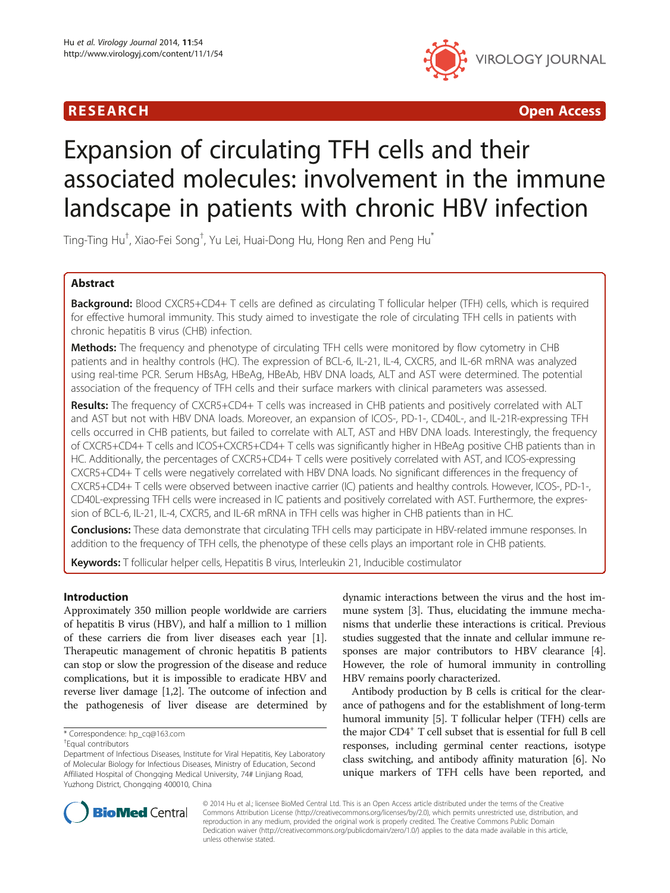

R E S EAR CH Open Access

# Expansion of circulating TFH cells and their associated molecules: involvement in the immune landscape in patients with chronic HBV infection

Ting-Ting Hu $^\dagger$ , Xiao-Fei Song $^\dagger$ , Yu Lei, Huai-Dong Hu, Hong Ren and Peng Hu $^*$ 

# Abstract

Background: Blood CXCR5+CD4+ T cells are defined as circulating T follicular helper (TFH) cells, which is required for effective humoral immunity. This study aimed to investigate the role of circulating TFH cells in patients with chronic hepatitis B virus (CHB) infection.

Methods: The frequency and phenotype of circulating TFH cells were monitored by flow cytometry in CHB patients and in healthy controls (HC). The expression of BCL-6, IL-21, IL-4, CXCR5, and IL-6R mRNA was analyzed using real-time PCR. Serum HBsAg, HBeAg, HBeAb, HBV DNA loads, ALT and AST were determined. The potential association of the frequency of TFH cells and their surface markers with clinical parameters was assessed.

Results: The frequency of CXCR5+CD4+ T cells was increased in CHB patients and positively correlated with ALT and AST but not with HBV DNA loads. Moreover, an expansion of ICOS-, PD-1-, CD40L-, and IL-21R-expressing TFH cells occurred in CHB patients, but failed to correlate with ALT, AST and HBV DNA loads. Interestingly, the frequency of CXCR5+CD4+ T cells and ICOS+CXCR5+CD4+ T cells was significantly higher in HBeAg positive CHB patients than in HC. Additionally, the percentages of CXCR5+CD4+ T cells were positively correlated with AST, and ICOS-expressing CXCR5+CD4+ T cells were negatively correlated with HBV DNA loads. No significant differences in the frequency of CXCR5+CD4+ T cells were observed between inactive carrier (IC) patients and healthy controls. However, ICOS-, PD-1-, CD40L-expressing TFH cells were increased in IC patients and positively correlated with AST. Furthermore, the expression of BCL-6, IL-21, IL-4, CXCR5, and IL-6R mRNA in TFH cells was higher in CHB patients than in HC.

Conclusions: These data demonstrate that circulating TFH cells may participate in HBV-related immune responses. In addition to the frequency of TFH cells, the phenotype of these cells plays an important role in CHB patients.

Keywords: T follicular helper cells, Hepatitis B virus, Interleukin 21, Inducible costimulator

# Introduction

Approximately 350 million people worldwide are carriers of hepatitis B virus (HBV), and half a million to 1 million of these carriers die from liver diseases each year [[1](#page-8-0)]. Therapeutic management of chronic hepatitis B patients can stop or slow the progression of the disease and reduce complications, but it is impossible to eradicate HBV and reverse liver damage [[1,2\]](#page-8-0). The outcome of infection and the pathogenesis of liver disease are determined by

dynamic interactions between the virus and the host immune system [\[3\]](#page-8-0). Thus, elucidating the immune mechanisms that underlie these interactions is critical. Previous studies suggested that the innate and cellular immune responses are major contributors to HBV clearance [[4](#page-8-0)]. However, the role of humoral immunity in controlling HBV remains poorly characterized.

Antibody production by B cells is critical for the clearance of pathogens and for the establishment of long-term humoral immunity [[5](#page-8-0)]. T follicular helper (TFH) cells are the major CD4<sup>+</sup> T cell subset that is essential for full B cell responses, including germinal center reactions, isotype class switching, and antibody affinity maturation [\[6\]](#page-8-0). No unique markers of TFH cells have been reported, and



© 2014 Hu et al.; licensee BioMed Central Ltd. This is an Open Access article distributed under the terms of the Creative Commons Attribution License [\(http://creativecommons.org/licenses/by/2.0\)](http://creativecommons.org/licenses/by/2.0), which permits unrestricted use, distribution, and reproduction in any medium, provided the original work is properly credited. The Creative Commons Public Domain Dedication waiver [\(http://creativecommons.org/publicdomain/zero/1.0/](http://creativecommons.org/publicdomain/zero/1.0/)) applies to the data made available in this article, unless otherwise stated.

<sup>\*</sup> Correspondence: [hp\\_cq@163.com](mailto:hp_cq@163.com) †

Equal contributors

Department of Infectious Diseases, Institute for Viral Hepatitis, Key Laboratory of Molecular Biology for Infectious Diseases, Ministry of Education, Second Affiliated Hospital of Chongqing Medical University, 74# Linjiang Road, Yuzhong District, Chongqing 400010, China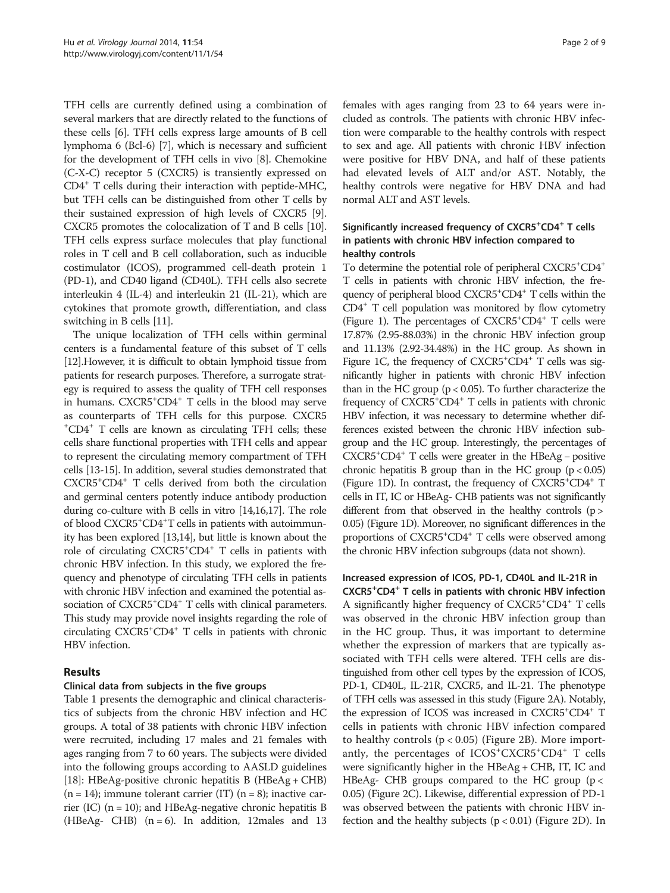TFH cells are currently defined using a combination of several markers that are directly related to the functions of these cells [[6\]](#page-8-0). TFH cells express large amounts of B cell lymphoma 6 (Bcl-6) [\[7](#page-8-0)], which is necessary and sufficient for the development of TFH cells in vivo [\[8\]](#page-8-0). Chemokine (C-X-C) receptor 5 (CXCR5) is transiently expressed on CD4+ T cells during their interaction with peptide-MHC, but TFH cells can be distinguished from other T cells by their sustained expression of high levels of CXCR5 [[9](#page-8-0)]. CXCR5 promotes the colocalization of T and B cells [[10](#page-8-0)]. TFH cells express surface molecules that play functional roles in T cell and B cell collaboration, such as inducible costimulator (ICOS), programmed cell-death protein 1 (PD-1), and CD40 ligand (CD40L). TFH cells also secrete interleukin 4 (IL-4) and interleukin 21 (IL-21), which are cytokines that promote growth, differentiation, and class switching in B cells [\[11\]](#page-8-0).

The unique localization of TFH cells within germinal centers is a fundamental feature of this subset of T cells [[12](#page-8-0)].However, it is difficult to obtain lymphoid tissue from patients for research purposes. Therefore, a surrogate strategy is required to assess the quality of TFH cell responses in humans. CXCR5<sup>+</sup>CD4<sup>+</sup> T cells in the blood may serve as counterparts of TFH cells for this purpose. CXCR5 + CD4+ T cells are known as circulating TFH cells; these cells share functional properties with TFH cells and appear to represent the circulating memory compartment of TFH cells [\[13-15\]](#page-8-0). In addition, several studies demonstrated that CXCR5+ CD4+ T cells derived from both the circulation and germinal centers potently induce antibody production during co-culture with B cells in vitro [\[14,16,17\]](#page-8-0). The role of blood CXCR5<sup>+</sup>CD4<sup>+</sup>T cells in patients with autoimmunity has been explored [[13,14\]](#page-8-0), but little is known about the role of circulating CXCR5<sup>+</sup>CD4<sup>+</sup> T cells in patients with chronic HBV infection. In this study, we explored the frequency and phenotype of circulating TFH cells in patients with chronic HBV infection and examined the potential association of CXCR5<sup>+</sup>CD4<sup>+</sup> T cells with clinical parameters. This study may provide novel insights regarding the role of circulating CXCR5+ CD4+ T cells in patients with chronic HBV infection.

# Results

### Clinical data from subjects in the five groups

Table [1](#page-2-0) presents the demographic and clinical characteristics of subjects from the chronic HBV infection and HC groups. A total of 38 patients with chronic HBV infection were recruited, including 17 males and 21 females with ages ranging from 7 to 60 years. The subjects were divided into the following groups according to AASLD guidelines [[18](#page-8-0)]: HBeAg-positive chronic hepatitis B (HBeAg + CHB)  $(n = 14)$ ; immune tolerant carrier (IT)  $(n = 8)$ ; inactive carrier (IC)  $(n = 10)$ ; and HBeAg-negative chronic hepatitis B (HBeAg- CHB)  $(n = 6)$ . In addition, 12males and 13 females with ages ranging from 23 to 64 years were included as controls. The patients with chronic HBV infection were comparable to the healthy controls with respect to sex and age. All patients with chronic HBV infection were positive for HBV DNA, and half of these patients had elevated levels of ALT and/or AST. Notably, the healthy controls were negative for HBV DNA and had normal ALT and AST levels.

# Significantly increased frequency of CXCR5<sup>+</sup>CD4<sup>+</sup> T cells in patients with chronic HBV infection compared to healthy controls

To determine the potential role of peripheral CXCR5<sup>+</sup>CD4<sup>+</sup> T cells in patients with chronic HBV infection, the frequency of peripheral blood CXCR5<sup>+</sup>CD4<sup>+</sup> T cells within the CD4+ T cell population was monitored by flow cytometry (Figure [1\)](#page-2-0). The percentages of CXCR5<sup>+</sup>CD4<sup>+</sup> T cells were 17.87% (2.95-88.03%) in the chronic HBV infection group and 11.13% (2.92-34.48%) in the HC group. As shown in Figure [1](#page-2-0)C, the frequency of CXCR5<sup>+</sup>CD4<sup>+</sup> T cells was significantly higher in patients with chronic HBV infection than in the HC group ( $p < 0.05$ ). To further characterize the frequency of CXCR5<sup>+</sup>CD4<sup>+</sup> T cells in patients with chronic HBV infection, it was necessary to determine whether differences existed between the chronic HBV infection subgroup and the HC group. Interestingly, the percentages of CXCR5+ CD4+ T cells were greater in the HBeAg − positive chronic hepatitis B group than in the HC group  $(p < 0.05)$ (Figure [1](#page-2-0)D). In contrast, the frequency of CXCR5<sup>+</sup>CD4<sup>+</sup> T cells in IT, IC or HBeAg- CHB patients was not significantly different from that observed in the healthy controls (p > 0.05) (Figure [1D](#page-2-0)). Moreover, no significant differences in the proportions of CXCR5<sup>+</sup>CD4<sup>+</sup> T cells were observed among the chronic HBV infection subgroups (data not shown).

### Increased expression of ICOS, PD-1, CD40L and IL-21R in

CXCR5<sup>+</sup> CD4<sup>+</sup> T cells in patients with chronic HBV infection A significantly higher frequency of CXCR5<sup>+</sup>CD4<sup>+</sup> T cells was observed in the chronic HBV infection group than in the HC group. Thus, it was important to determine whether the expression of markers that are typically associated with TFH cells were altered. TFH cells are distinguished from other cell types by the expression of ICOS, PD-1, CD40L, IL-21R, CXCR5, and IL-21. The phenotype of TFH cells was assessed in this study (Figure [2A](#page-3-0)). Notably, the expression of ICOS was increased in CXCR5<sup>+</sup>CD4<sup>+</sup> T cells in patients with chronic HBV infection compared to healthy controls  $(p < 0.05)$  (Figure [2](#page-3-0)B). More importantly, the percentages of ICOS<sup>+</sup>CXCR5<sup>+</sup>CD4<sup>+</sup> T cells were significantly higher in the HBeAg + CHB, IT, IC and HBeAg- CHB groups compared to the HC group ( $p <$ 0.05) (Figure [2C](#page-3-0)). Likewise, differential expression of PD-1 was observed between the patients with chronic HBV infection and the healthy subjects  $(p < 0.01)$  (Figure [2D](#page-3-0)). In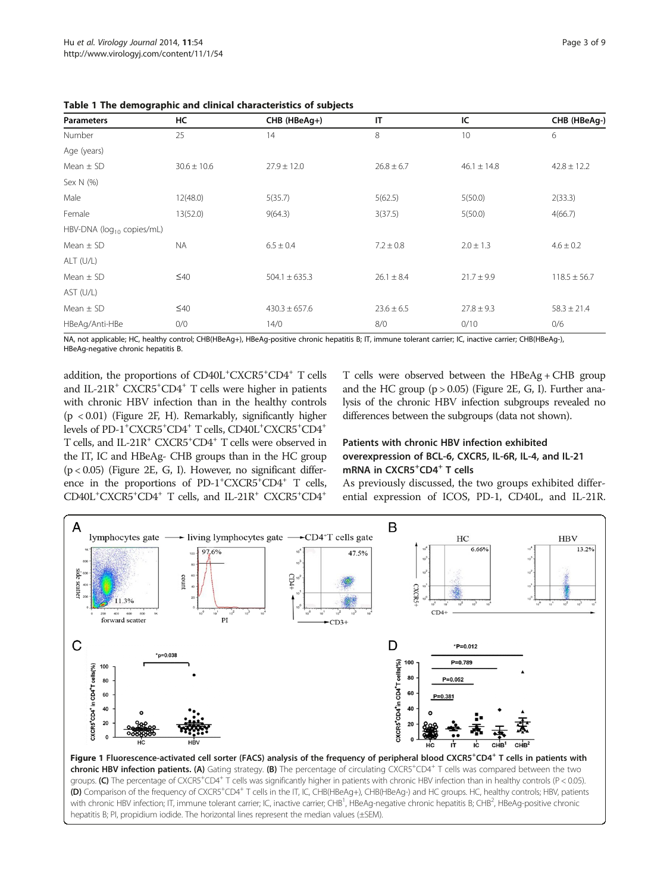| <b>Parameters</b>               | HC              | CHB (HBeAg+)      | IT             | IC              | CHB (HBeAg-)     |
|---------------------------------|-----------------|-------------------|----------------|-----------------|------------------|
| Number                          | 25              | 14                | 8              | 10              | 6                |
| Age (years)                     |                 |                   |                |                 |                  |
| Mean $\pm$ SD                   | $30.6 \pm 10.6$ | $27.9 \pm 12.0$   | $26.8 \pm 6.7$ | $46.1 \pm 14.8$ | $42.8 \pm 12.2$  |
| Sex N (%)                       |                 |                   |                |                 |                  |
| Male                            | 12(48.0)        | 5(35.7)           | 5(62.5)        | 5(50.0)         | 2(33.3)          |
| Female                          | 13(52.0)        | 9(64.3)           | 3(37.5)        | 5(50.0)         | 4(66.7)          |
| HBV-DNA ( $log_{10}$ copies/mL) |                 |                   |                |                 |                  |
| Mean $\pm$ SD                   | <b>NA</b>       | $6.5 \pm 0.4$     | $7.2 \pm 0.8$  | $2.0 \pm 1.3$   | $4.6 \pm 0.2$    |
| ALT (U/L)                       |                 |                   |                |                 |                  |
| Mean $\pm$ SD                   | $\leq 40$       | $504.1 \pm 635.3$ | $26.1 \pm 8.4$ | $21.7 \pm 9.9$  | $118.5 \pm 56.7$ |
| AST (U/L)                       |                 |                   |                |                 |                  |
| Mean $\pm$ SD                   | $\leq 40$       | $430.3 \pm 657.6$ | $23.6 \pm 6.5$ | $27.8 \pm 9.3$  | $58.3 \pm 21.4$  |
| HBeAg/Anti-HBe                  | 0/0             | 14/0              | 8/0            | 0/10            | 0/6              |

<span id="page-2-0"></span>

NA, not applicable; HC, healthy control; CHB(HBeAg+), HBeAg-positive chronic hepatitis B; IT, immune tolerant carrier; IC, inactive carrier; CHB(HBeAg-), HBeAg-negative chronic hepatitis B.

addition, the proportions of CD40L<sup>+</sup>CXCR5<sup>+</sup>CD4<sup>+</sup> T cells and IL-21R<sup>+</sup> CXCR5<sup>+</sup>CD4<sup>+</sup> T cells were higher in patients with chronic HBV infection than in the healthy controls (p < 0.01) (Figure [2](#page-3-0)F, H). Remarkably, significantly higher levels of PD-1<sup>+</sup>CXCR5<sup>+</sup>CD4<sup>+</sup> T cells, CD40L<sup>+</sup>CXCR5<sup>+</sup>CD4<sup>+</sup> T cells, and IL-21R<sup>+</sup> CXCR5<sup>+</sup>CD4<sup>+</sup> T cells were observed in the IT, IC and HBeAg- CHB groups than in the HC group  $(p < 0.05)$  (Figure [2E](#page-3-0), G, I). However, no significant difference in the proportions of PD-1<sup>+</sup>CXCR5<sup>+</sup>CD4<sup>+</sup> T cells, CD40L<sup>+</sup>CXCR5<sup>+</sup>CD4<sup>+</sup> T cells, and IL-21R<sup>+</sup> CXCR5<sup>+</sup>CD4<sup>+</sup>

T cells were observed between the HBeAg + CHB group and the HC group  $(p > 0.05)$  (Figure [2](#page-3-0)E, G, I). Further analysis of the chronic HBV infection subgroups revealed no differences between the subgroups (data not shown).

# Patients with chronic HBV infection exhibited overexpression of BCL-6, CXCR5, IL-6R, IL-4, and IL-21 mRNA in CXCR5<sup>+</sup>CD4<sup>+</sup> T cells

As previously discussed, the two groups exhibited differential expression of ICOS, PD-1, CD40L, and IL-21R.



Figure 1 Fluorescence-activated cell sorter (FACS) analysis of the frequency of peripheral blood CXCR5<sup>+</sup>CD4<sup>+</sup> T cells in patients with chronic HBV infection patients. (A) Gating strategy. (B) The percentage of circulating CXCR5<sup>+</sup>CD4<sup>+</sup> T cells was compared between the two groups. (C) The percentage of CXCR5<sup>+</sup>CD4<sup>+</sup> T cells was significantly higher in patients with chronic HBV infection than in healthy controls (P < 0.05). (D) Comparison of the frequency of CXCR5<sup>+</sup>CD4<sup>+</sup> T cells in the IT, IC, CHB(HBeAg+), CHB(HBeAg-) and HC groups. HC, healthy controls; HBV, patients with chronic HBV infection; IT, immune tolerant carrier; IC, inactive carrier; CHB<sup>1</sup>, HBeAg-negative chronic hepatitis B; CHB<sup>2</sup>, HBeAg-positive chronic hepatitis B; PI, propidium iodide. The horizontal lines represent the median values (±SEM).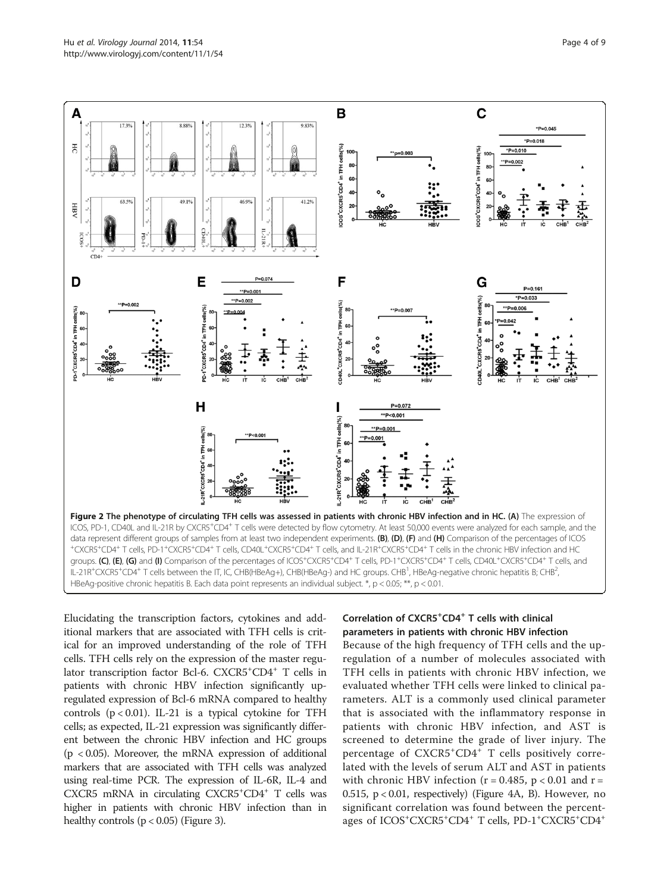<span id="page-3-0"></span>

Elucidating the transcription factors, cytokines and additional markers that are associated with TFH cells is critical for an improved understanding of the role of TFH cells. TFH cells rely on the expression of the master regulator transcription factor Bcl-6. CXCR5<sup>+</sup>CD4<sup>+</sup> T cells in patients with chronic HBV infection significantly upregulated expression of Bcl-6 mRNA compared to healthy controls  $(p < 0.01)$ . IL-21 is a typical cytokine for TFH cells; as expected, IL-21 expression was significantly different between the chronic HBV infection and HC groups (p < 0.05). Moreover, the mRNA expression of additional markers that are associated with TFH cells was analyzed using real-time PCR. The expression of IL-6R, IL-4 and CXCR5 mRNA in circulating CXCR5<sup>+</sup>CD4<sup>+</sup> T cells was higher in patients with chronic HBV infection than in healthy controls  $(p < 0.05)$  (Figure [3\)](#page-4-0).

# Correlation of CXCR5<sup>+</sup>CD4<sup>+</sup> T cells with clinical parameters in patients with chronic HBV infection

Because of the high frequency of TFH cells and the upregulation of a number of molecules associated with TFH cells in patients with chronic HBV infection, we evaluated whether TFH cells were linked to clinical parameters. ALT is a commonly used clinical parameter that is associated with the inflammatory response in patients with chronic HBV infection, and AST is screened to determine the grade of liver injury. The percentage of CXCR5<sup>+</sup>CD4<sup>+</sup> T cells positively correlated with the levels of serum ALT and AST in patients with chronic HBV infection ( $r = 0.485$ ,  $p < 0.01$  and  $r =$ 0.515,  $p < 0.01$ , respectively) (Figure [4](#page-4-0)A, B). However, no significant correlation was found between the percentages of ICOS<sup>+</sup>CXCR5<sup>+</sup>CD4<sup>+</sup> T cells, PD-1<sup>+</sup>CXCR5<sup>+</sup>CD4<sup>+</sup>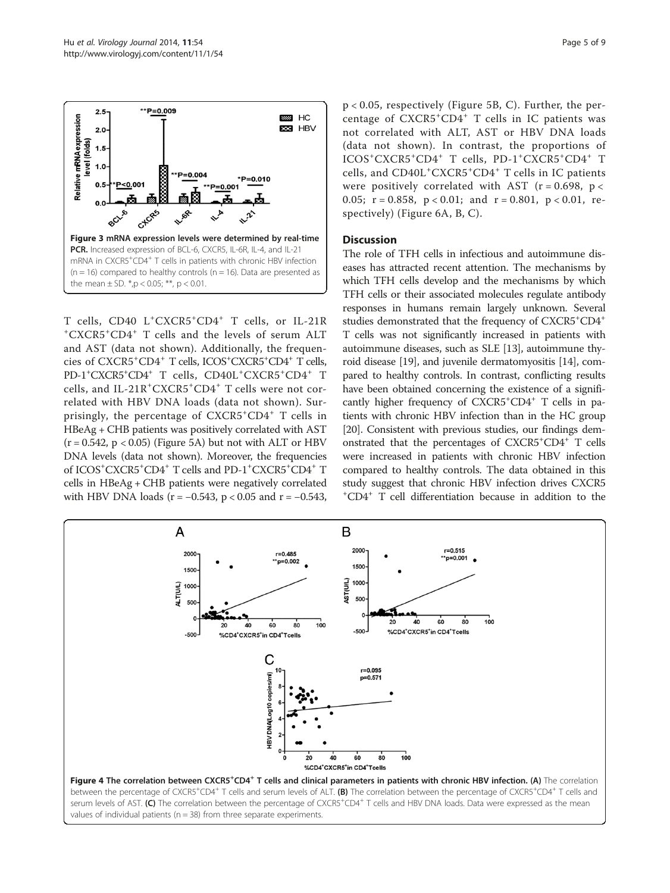<span id="page-4-0"></span>

 $T$  cells, CD40  $L^+CXCR5^+CD4^+$   $T$  cells, or IL-21R  $+CXCR5^+CD4^+$   $T$  cells and the levels of serum ALT CXCR5<sup>+</sup> CD4<sup>+</sup> T cells and the levels of serum ALT and AST (data not shown). Additionally, the frequencies of CXCR5<sup>+</sup> CD4<sup>+</sup> T cells, ICOS+ CXCR5+ CD4+ T cells, PD-1<sup>+</sup>CXCR5<sup>+</sup>CD4<sup>+</sup> T cells, CD40L<sup>+</sup>CXCR5<sup>+</sup>CD4<sup>+</sup> T cells, and IL-21R<sup>+</sup>CXCR5<sup>+</sup>CD4<sup>+</sup> T cells were not correlated with HBV DNA loads (data not shown). Surprisingly, the percentage of  $CXCR5+CD4$ <sup>+</sup> T cells in HBeAg + CHB patients was positively correlated with AST  $(r = 0.542, p < 0.05)$  (Figure [5A](#page-5-0)) but not with ALT or HBV DNA levels (data not shown). Moreover, the frequencies of ICOS<sup>+</sup>CXCR5<sup>+</sup>CD4<sup>+</sup> T cells and PD-1<sup>+</sup>CXCR5<sup>+</sup>CD4<sup>+</sup> T cells in HBeAg + CHB patients were negatively correlated with HBV DNA loads ( $r = -0.543$ ,  $p < 0.05$  and  $r = -0.543$ , p < 0.05, respectively (Figure [5B](#page-5-0), C). Further, the percentage of CXCR5<sup>+</sup>CD4<sup>+</sup> T cells in IC patients was not correlated with ALT, AST or HBV DNA loads (data not shown). In contrast, the proportions of ICOS<sup>+</sup>CXCR5<sup>+</sup>CD4<sup>+</sup> T cells, PD-1<sup>+</sup>CXCR5<sup>+</sup>CD4<sup>+</sup> T cells, and CD40L<sup>+</sup>CXCR5<sup>+</sup>CD4<sup>+</sup> T cells in IC patients were positively correlated with AST ( $r = 0.698$ ,  $p <$ 0.05;  $r = 0.858$ ,  $p < 0.01$ ; and  $r = 0.801$ ,  $p < 0.01$ , respectively) (Figure [6](#page-5-0)A, B, C).

#### **Discussion**

The role of TFH cells in infectious and autoimmune diseases has attracted recent attention. The mechanisms by which TFH cells develop and the mechanisms by which TFH cells or their associated molecules regulate antibody responses in humans remain largely unknown. Several studies demonstrated that the frequency of CXCR5<sup>+</sup>CD4<sup>+</sup> T cells was not significantly increased in patients with autoimmune diseases, such as SLE [\[13](#page-8-0)], autoimmune thyroid disease [\[19\]](#page-8-0), and juvenile dermatomyositis [[14](#page-8-0)], compared to healthy controls. In contrast, conflicting results have been obtained concerning the existence of a significantly higher frequency of CXCR5<sup>+</sup>CD4<sup>+</sup> T cells in patients with chronic HBV infection than in the HC group [[20](#page-8-0)]. Consistent with previous studies, our findings demonstrated that the percentages of CXCR5+ CD4+ T cells were increased in patients with chronic HBV infection compared to healthy controls. The data obtained in this study suggest that chronic HBV infection drives CXCR5 + CD4+ T cell differentiation because in addition to the

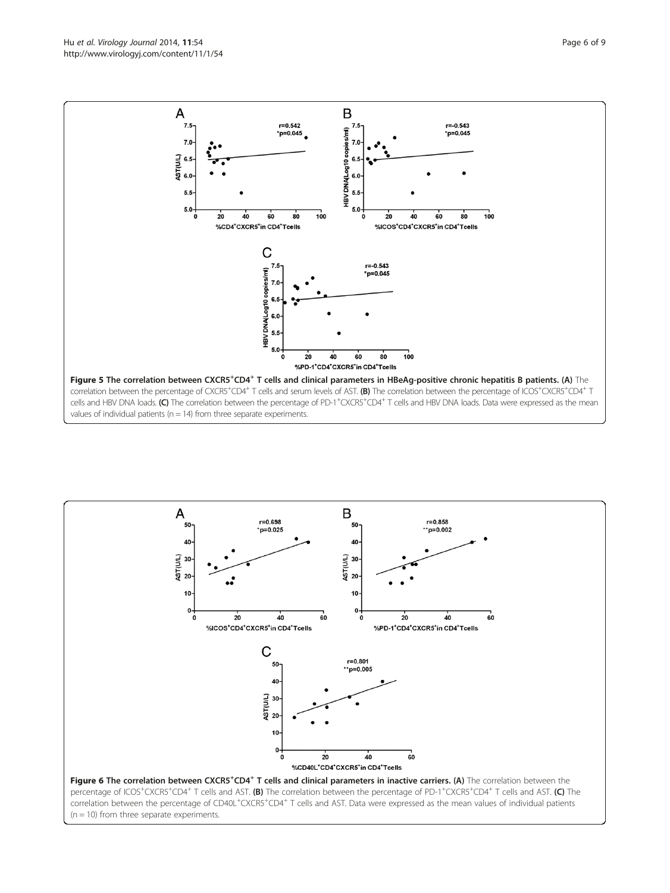<span id="page-5-0"></span>Hu et al. Virology Journal 2014, 11:54 Page 6 of 9 http://www.virologyj.com/content/11/1/54



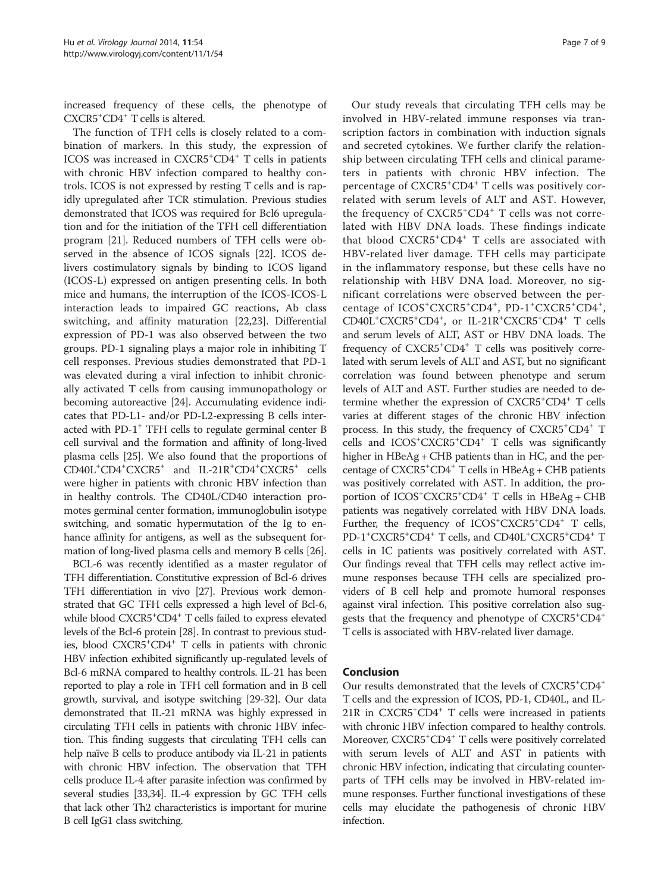increased frequency of these cells, the phenotype of CXCR5+ CD4+ T cells is altered.

The function of TFH cells is closely related to a combination of markers. In this study, the expression of ICOS was increased in CXCR5<sup>+</sup>CD4<sup>+</sup> T cells in patients with chronic HBV infection compared to healthy controls. ICOS is not expressed by resting T cells and is rapidly upregulated after TCR stimulation. Previous studies demonstrated that ICOS was required for Bcl6 upregulation and for the initiation of the TFH cell differentiation program [[21\]](#page-8-0). Reduced numbers of TFH cells were observed in the absence of ICOS signals [\[22\]](#page-8-0). ICOS delivers costimulatory signals by binding to ICOS ligand (ICOS-L) expressed on antigen presenting cells. In both mice and humans, the interruption of the ICOS-ICOS-L interaction leads to impaired GC reactions, Ab class switching, and affinity maturation [[22,23\]](#page-8-0). Differential expression of PD-1 was also observed between the two groups. PD-1 signaling plays a major role in inhibiting T cell responses. Previous studies demonstrated that PD-1 was elevated during a viral infection to inhibit chronically activated T cells from causing immunopathology or becoming autoreactive [[24](#page-8-0)]. Accumulating evidence indicates that PD-L1- and/or PD-L2-expressing B cells interacted with PD-1<sup>+</sup> TFH cells to regulate germinal center B cell survival and the formation and affinity of long-lived plasma cells [[25](#page-8-0)]. We also found that the proportions of CD40L<sup>+</sup>CD4<sup>+</sup>CXCR5<sup>+</sup> and IL-21R<sup>+</sup>CD4<sup>+</sup>CXCR5<sup>+</sup> cells were higher in patients with chronic HBV infection than in healthy controls. The CD40L/CD40 interaction promotes germinal center formation, immunoglobulin isotype switching, and somatic hypermutation of the Ig to enhance affinity for antigens, as well as the subsequent formation of long-lived plasma cells and memory B cells [[26](#page-8-0)].

BCL-6 was recently identified as a master regulator of TFH differentiation. Constitutive expression of Bcl-6 drives TFH differentiation in vivo [[27](#page-8-0)]. Previous work demonstrated that GC TFH cells expressed a high level of Bcl-6, while blood CXCR5<sup>+</sup>CD4<sup>+</sup> T cells failed to express elevated levels of the Bcl-6 protein [\[28\]](#page-8-0). In contrast to previous studies, blood CXCR5+ CD4+ T cells in patients with chronic HBV infection exhibited significantly up-regulated levels of Bcl-6 mRNA compared to healthy controls. IL-21 has been reported to play a role in TFH cell formation and in B cell growth, survival, and isotype switching [\[29](#page-8-0)-[32](#page-8-0)]. Our data demonstrated that IL-21 mRNA was highly expressed in circulating TFH cells in patients with chronic HBV infection. This finding suggests that circulating TFH cells can help naïve B cells to produce antibody via IL-21 in patients with chronic HBV infection. The observation that TFH cells produce IL-4 after parasite infection was confirmed by several studies [\[33,34\]](#page-8-0). IL-4 expression by GC TFH cells that lack other Th2 characteristics is important for murine B cell IgG1 class switching.

Our study reveals that circulating TFH cells may be involved in HBV-related immune responses via transcription factors in combination with induction signals and secreted cytokines. We further clarify the relationship between circulating TFH cells and clinical parameters in patients with chronic HBV infection. The percentage of CXCR5<sup>+</sup>CD4<sup>+</sup> T cells was positively correlated with serum levels of ALT and AST. However, the frequency of CXCR5<sup>+</sup>CD4<sup>+</sup> T cells was not correlated with HBV DNA loads. These findings indicate that blood CXCR5<sup>+</sup>CD4<sup>+</sup> T cells are associated with HBV-related liver damage. TFH cells may participate in the inflammatory response, but these cells have no relationship with HBV DNA load. Moreover, no significant correlations were observed between the percentage of ICOS<sup>+</sup>CXCR5<sup>+</sup>CD4<sup>+</sup>, PD-1<sup>+</sup>CXCR5<sup>+</sup>CD4<sup>+</sup>, CD40L<sup>+</sup>CXCR5<sup>+</sup>CD4<sup>+</sup>, or IL-21R<sup>+</sup>CXCR5<sup>+</sup>CD4<sup>+</sup> T cells and serum levels of ALT, AST or HBV DNA loads. The frequency of CXCR5<sup>+</sup>CD4<sup>+</sup> T cells was positively correlated with serum levels of ALT and AST, but no significant correlation was found between phenotype and serum levels of ALT and AST. Further studies are needed to determine whether the expression of CXCR5<sup>+</sup>CD4<sup>+</sup> T cells varies at different stages of the chronic HBV infection process. In this study, the frequency of CXCR5<sup>+</sup>CD4<sup>+</sup> T cells and ICOS+ CXCR5+ CD4+ T cells was significantly higher in HBeAg + CHB patients than in HC, and the percentage of CXCR5<sup>+</sup>CD4<sup>+</sup> T cells in HBeAg + CHB patients was positively correlated with AST. In addition, the proportion of ICOS<sup>+</sup>CXCR5<sup>+</sup>CD4<sup>+</sup> T cells in HBeAg + CHB patients was negatively correlated with HBV DNA loads. Further, the frequency of ICOS<sup>+</sup>CXCR5<sup>+</sup>CD4<sup>+</sup> T cells, PD-1<sup>+</sup>CXCR5<sup>+</sup>CD4<sup>+</sup> T cells, and CD40L<sup>+</sup>CXCR5<sup>+</sup>CD4<sup>+</sup> T cells in IC patients was positively correlated with AST. Our findings reveal that TFH cells may reflect active immune responses because TFH cells are specialized providers of B cell help and promote humoral responses against viral infection. This positive correlation also suggests that the frequency and phenotype of CXCR5<sup>+</sup>CD4<sup>+</sup> T cells is associated with HBV-related liver damage.

### Conclusion

Our results demonstrated that the levels of CXCR5<sup>+</sup>CD4<sup>+</sup> T cells and the expression of ICOS, PD-1, CD40L, and IL-21R in CXCR5<sup>+</sup>CD4<sup>+</sup> T cells were increased in patients with chronic HBV infection compared to healthy controls. Moreover, CXCR5+ CD4+ T cells were positively correlated with serum levels of ALT and AST in patients with chronic HBV infection, indicating that circulating counterparts of TFH cells may be involved in HBV-related immune responses. Further functional investigations of these cells may elucidate the pathogenesis of chronic HBV infection.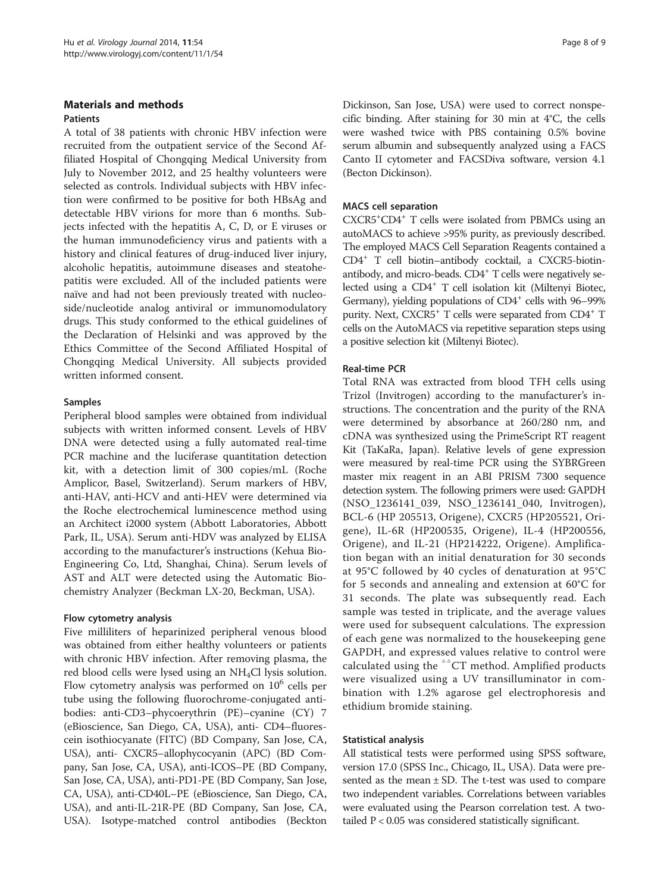#### Materials and methods Patients

A total of 38 patients with chronic HBV infection were recruited from the outpatient service of the Second Affiliated Hospital of Chongqing Medical University from July to November 2012, and 25 healthy volunteers were selected as controls. Individual subjects with HBV infection were confirmed to be positive for both HBsAg and detectable HBV virions for more than 6 months. Subjects infected with the hepatitis A, C, D, or E viruses or the human immunodeficiency virus and patients with a history and clinical features of drug-induced liver injury, alcoholic hepatitis, autoimmune diseases and steatohepatitis were excluded. All of the included patients were naïve and had not been previously treated with nucleoside/nucleotide analog antiviral or immunomodulatory drugs. This study conformed to the ethical guidelines of the Declaration of Helsinki and was approved by the Ethics Committee of the Second Affiliated Hospital of Chongqing Medical University. All subjects provided written informed consent.

### Samples

Peripheral blood samples were obtained from individual subjects with written informed consent. Levels of HBV DNA were detected using a fully automated real-time PCR machine and the luciferase quantitation detection kit, with a detection limit of 300 copies/mL (Roche Amplicor, Basel, Switzerland). Serum markers of HBV, anti-HAV, anti-HCV and anti-HEV were determined via the Roche electrochemical luminescence method using an Architect i2000 system (Abbott Laboratories, Abbott Park, IL, USA). Serum anti-HDV was analyzed by ELISA according to the manufacturer's instructions (Kehua Bio-Engineering Co, Ltd, Shanghai, China). Serum levels of AST and ALT were detected using the Automatic Biochemistry Analyzer (Beckman LX-20, Beckman, USA).

#### Flow cytometry analysis

Five milliliters of heparinized peripheral venous blood was obtained from either healthy volunteers or patients with chronic HBV infection. After removing plasma, the red blood cells were lysed using an  $NH<sub>4</sub>Cl$  lysis solution. Flow cytometry analysis was performed on  $10<sup>6</sup>$  cells per tube using the following fluorochrome-conjugated antibodies: anti-CD3–phycoerythrin (PE)–cyanine (CY) 7 (eBioscience, San Diego, CA, USA), anti- CD4–fluorescein isothiocyanate (FITC) (BD Company, San Jose, CA, USA), anti- CXCR5–allophycocyanin (APC) (BD Company, San Jose, CA, USA), anti-ICOS–PE (BD Company, San Jose, CA, USA), anti-PD1-PE (BD Company, San Jose, CA, USA), anti-CD40L–PE (eBioscience, San Diego, CA, USA), and anti-IL-21R-PE (BD Company, San Jose, CA, USA). Isotype-matched control antibodies (Beckton Dickinson, San Jose, USA) were used to correct nonspecific binding. After staining for 30 min at 4°C, the cells were washed twice with PBS containing 0.5% bovine serum albumin and subsequently analyzed using a FACS Canto II cytometer and FACSDiva software, version 4.1 (Becton Dickinson).

### MACS cell separation

CXCR5+ CD4+ T cells were isolated from PBMCs using an autoMACS to achieve >95% purity, as previously described. The employed MACS Cell Separation Reagents contained a CD4+ T cell biotin–antibody cocktail, a CXCR5-biotinantibody, and micro-beads. CD4<sup>+</sup> T cells were negatively selected using a CD4<sup>+</sup> T cell isolation kit (Miltenyi Biotec, Germany), yielding populations of  $CD4^+$  cells with 96–99% purity. Next, CXCR5<sup>+</sup> T cells were separated from CD4<sup>+</sup> T cells on the AutoMACS via repetitive separation steps using a positive selection kit (Miltenyi Biotec).

#### Real-time PCR

Total RNA was extracted from blood TFH cells using Trizol (Invitrogen) according to the manufacturer's instructions. The concentration and the purity of the RNA were determined by absorbance at 260/280 nm, and cDNA was synthesized using the PrimeScript RT reagent Kit (TaKaRa, Japan). Relative levels of gene expression were measured by real-time PCR using the SYBRGreen master mix reagent in an ABI PRISM 7300 sequence detection system. The following primers were used: GAPDH (NSO\_1236141\_039, NSO\_1236141\_040, Invitrogen), BCL-6 (HP 205513, Origene), CXCR5 (HP205521, Origene), IL-6R (HP200535, Origene), IL-4 (HP200556, Origene), and IL-21 (HP214222, Origene). Amplification began with an initial denaturation for 30 seconds at 95°C followed by 40 cycles of denaturation at 95°C for 5 seconds and annealing and extension at 60°C for 31 seconds. The plate was subsequently read. Each sample was tested in triplicate, and the average values were used for subsequent calculations. The expression of each gene was normalized to the housekeeping gene GAPDH, and expressed values relative to control were calculated using the  $\triangle$ <sup> $\triangle$ </sup>CT method. Amplified products were visualized using a UV transilluminator in combination with 1.2% agarose gel electrophoresis and ethidium bromide staining.

#### Statistical analysis

All statistical tests were performed using SPSS software, version 17.0 (SPSS Inc., Chicago, IL, USA). Data were presented as the mean  $\pm$  SD. The t-test was used to compare two independent variables. Correlations between variables were evaluated using the Pearson correlation test. A twotailed P < 0.05 was considered statistically significant.